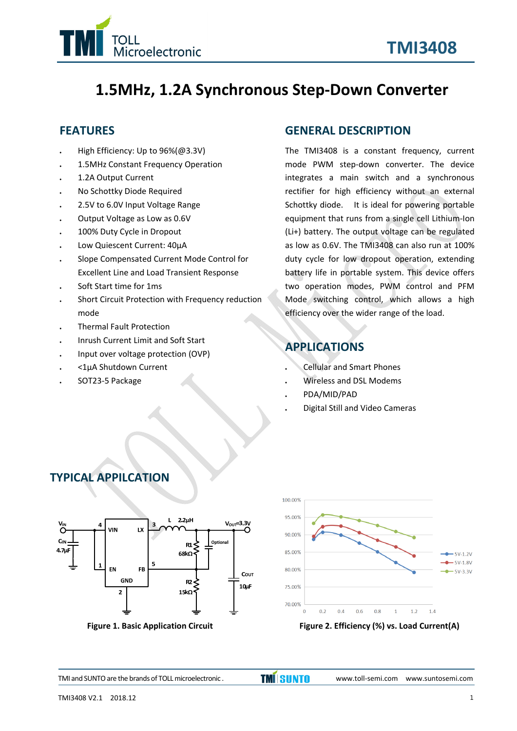

# **1.5MHz, 1.2A Synchronous Step‐Down Converter**

# **FEATURES**

- High Efficiency: Up to 96%(@3.3V)
- 1.5MHz Constant Frequency Operation
- 1.2A Output Current
- No Schottky Diode Required
- 2.5V to 6.0V Input Voltage Range
- Output Voltage as Low as 0.6V
- 100% Duty Cycle in Dropout
- Low Quiescent Current: 40µA
- Slope Compensated Current Mode Control for Excellent Line and Load Transient Response
- Soft Start time for 1ms
- Short Circuit Protection with Frequency reduction mode
- Thermal Fault Protection
- Inrush Current Limit and Soft Start
- Input over voltage protection (OVP)
- <1µA Shutdown Current
- SOT23‐5 Package

#### **GENERAL DESCRIPTION**

The TMI3408 is a constant frequency, current mode PWM step‐down converter. The device integrates a main switch and a synchronous rectifier for high efficiency without an external Schottky diode. It is ideal for powering portable equipment that runs from a single cell Lithium‐Ion (Li+) battery. The output voltage can be regulated as low as 0.6V. The TMI3408 can also run at 100% duty cycle for low dropout operation, extending battery life in portable system. This device offers two operation modes, PWM control and PFM Mode switching control, which allows a high efficiency over the wider range of the load.

# **APPLICATIONS**

- Cellular and Smart Phones
- Wireless and DSL Modems
- PDA/MID/PAD
- Digital Still and Video Cameras







**Figure 1. Basic Application Circuit Figure 2. Efficiency (%) vs. Load Current(A)**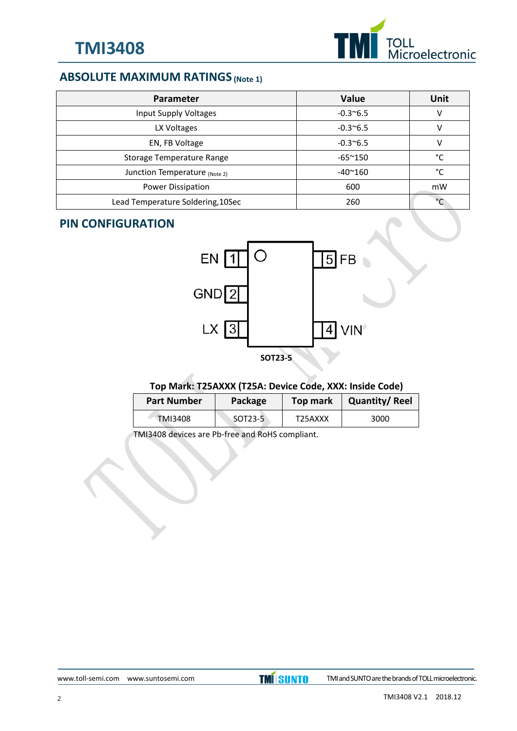

# **ABSOLUTE MAXIMUM RATINGS (Note 1)**

| <b>Parameter</b>                  | <b>Value</b>      | Unit       |
|-----------------------------------|-------------------|------------|
| Input Supply Voltages             | $-0.3^{\circ}6.5$ | v          |
| LX Voltages                       | $-0.3^{\circ}6.5$ | V          |
| EN, FB Voltage                    | $-0.3^{\circ}6.5$ | V          |
| Storage Temperature Range         | $-65^{\sim}150$   | °C         |
| Junction Temperature (Note 2)     | $-40^{\sim}160$   | °C         |
| Power Dissipation                 | 600               | mW         |
| Lead Temperature Soldering, 10Sec | 260               | $^{\circ}$ |

#### **PIN CONFIGURATION**



#### **Top Mark: T25AXXX (T25A: Device Code, XXX: Inside Code)**

| <b>Part Number</b> | Package | Top mark | <b>Quantity/Reel</b> |
|--------------------|---------|----------|----------------------|
| TMI3408            | SOT23-5 | T25AXXX  | 3000                 |

TMI3408 devices are Pb‐free and RoHS compliant.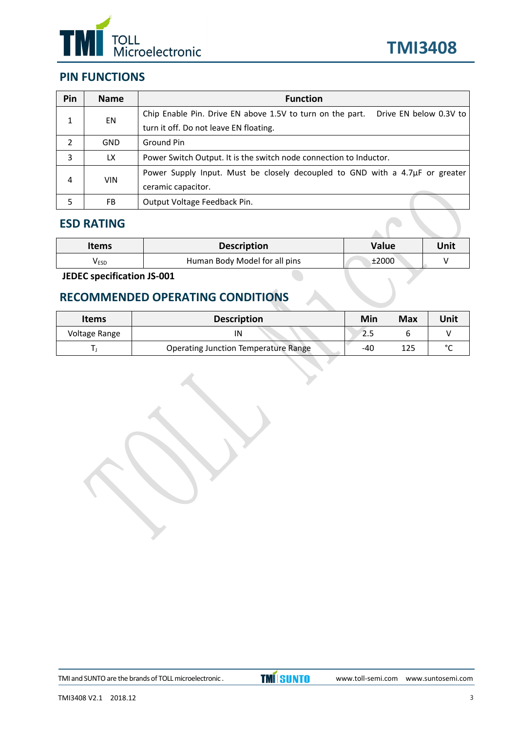



# **PIN FUNCTIONS**

| Pin | <b>Name</b> | <b>Function</b>                                                                     |  |  |
|-----|-------------|-------------------------------------------------------------------------------------|--|--|
| 1   | EN          | Drive EN below 0.3V to<br>Chip Enable Pin. Drive EN above 1.5V to turn on the part. |  |  |
|     |             | turn it off. Do not leave EN floating.                                              |  |  |
| 2   | <b>GND</b>  | Ground Pin                                                                          |  |  |
| 3   | LX.         | Power Switch Output. It is the switch node connection to Inductor.                  |  |  |
|     |             | Power Supply Input. Must be closely decoupled to GND with a 4.7 $\mu$ F or greater  |  |  |
| 4   | <b>VIN</b>  | ceramic capacitor.                                                                  |  |  |
| 5   | FB.         | Output Voltage Feedback Pin.                                                        |  |  |

#### **ESD RATING**

| <b>Items</b> | <b>Description</b><br>Value   |       | Unit |
|--------------|-------------------------------|-------|------|
| <b>V</b> ESD | Human Body Model for all pins | ±2000 |      |

**JEDEC specification JS‐001**

# **RECOMMENDED OPERATING CONDITIONS**

| <b>Items</b>  | <b>Description</b>                          | Min   | <b>Max</b> | Unit   |
|---------------|---------------------------------------------|-------|------------|--------|
| Voltage Range |                                             | د.∠   |            |        |
|               | <b>Operating Junction Temperature Range</b> | $-40$ | 125        | $\sim$ |

TMI and SUNTO are the brands of TOLL microelectronic .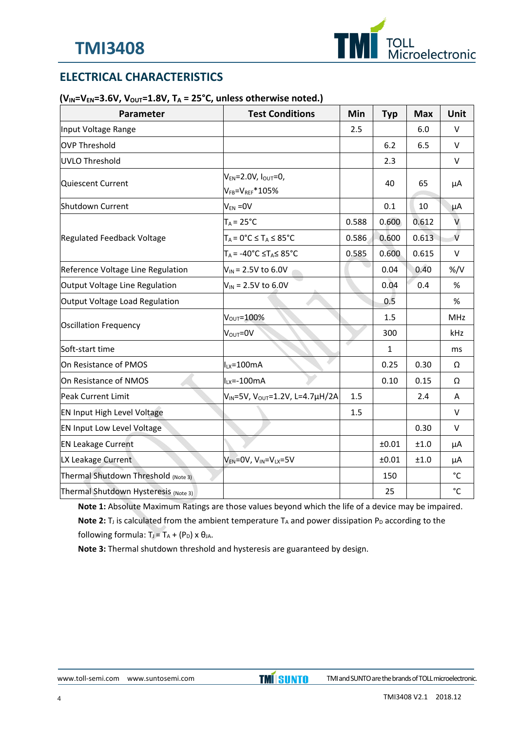

# **ELECTRICAL CHARACTERISTICS**

#### $(V_{IN} = V_{EN} = 3.6V, V_{OUT} = 1.8V, T_A = 25°C$ , unless otherwise noted.)

| Parameter                            | <b>Test Conditions</b>                                   | Min   | <b>Typ</b>   | <b>Max</b> | Unit              |
|--------------------------------------|----------------------------------------------------------|-------|--------------|------------|-------------------|
| Input Voltage Range                  |                                                          | 2.5   |              | 6.0        | V                 |
| OVP Threshold                        |                                                          |       | 6.2          | 6.5        | $\vee$            |
| UVLO Threshold                       |                                                          |       | 2.3          |            | $\sf V$           |
| Quiescent Current                    | $V_{EN} = 2.0 V, IOUT = 0,$<br>$V_{FB} = V_{REF} * 105%$ |       | 40           | 65         | μA                |
| Shutdown Current                     | $V_{EN} = 0V$                                            |       | 0.1          | 10         | μA                |
|                                      | $T_A = 25^{\circ}C$                                      | 0.588 | 0.600        | 0.612      | V                 |
| Regulated Feedback Voltage           | $T_A = 0$ °C $\leq T_A \leq 85$ °C                       | 0.586 | 0.600        | 0.613      | $\vee$            |
|                                      | $T_A = -40^{\circ}C \leq T_A \leq 85^{\circ}C$           | 0.585 | 0.600        | 0.615      | V                 |
| Reference Voltage Line Regulation    | $V_{IN}$ = 2.5V to 6.0V                                  |       | 0.04         | 0.40       | $\frac{9}{V}$     |
| Output Voltage Line Regulation       | $V_{IN}$ = 2.5V to 6.0V                                  |       | 0.04         | 0.4        | $\%$              |
| Output Voltage Load Regulation       |                                                          |       | 0.5          |            | %                 |
|                                      | $V_{\text{OUT}} = 100\%$                                 |       | 1.5          |            | MHz               |
| Oscillation Frequency                | $V_{\text{OUT}} = 0V$                                    |       | 300          |            | kHz               |
| Soft-start time                      |                                                          |       | $\mathbf{1}$ |            | ms                |
| On Resistance of PMOS                | $I_{LX} = 100mA$                                         |       | 0.25         | 0.30       | Ω                 |
| On Resistance of NMOS                | $ILX=-100mA$                                             |       | 0.10         | 0.15       | Ω                 |
| Peak Current Limit                   | V <sub>IN</sub> =5V, V <sub>OUT</sub> =1.2V, L=4.7µH/2A  | 1.5   |              | 2.4        | A                 |
| <b>EN Input High Level Voltage</b>   |                                                          | 1.5   |              |            | $\sf V$           |
| EN Input Low Level Voltage           |                                                          |       |              | 0.30       | $\vee$            |
| <b>EN Leakage Current</b>            |                                                          |       | ±0.01        | ±1.0       | μA                |
| LX Leakage Current                   | $V_{EN} = 0V$ , $V_{IN} = V_{LX} = 5V$                   |       | ±0.01        | $\pm 1.0$  | μA                |
| Thermal Shutdown Threshold (Note 3)  |                                                          |       | 150          |            | °C                |
| Thermal Shutdown Hysteresis (Note 3) |                                                          |       | 25           |            | $^{\circ}{\rm C}$ |

**Note 1:** Absolute Maximum Ratings are those values beyond which the life of a device may be impaired. **Note 2:**  $T_J$  is calculated from the ambient temperature  $T_A$  and power dissipation  $P_D$  according to the following formula:  $T_J = T_A + (P_D) \times \theta_{JA}$ .

**Note 3:** Thermal shutdown threshold and hysteresis are guaranteed by design.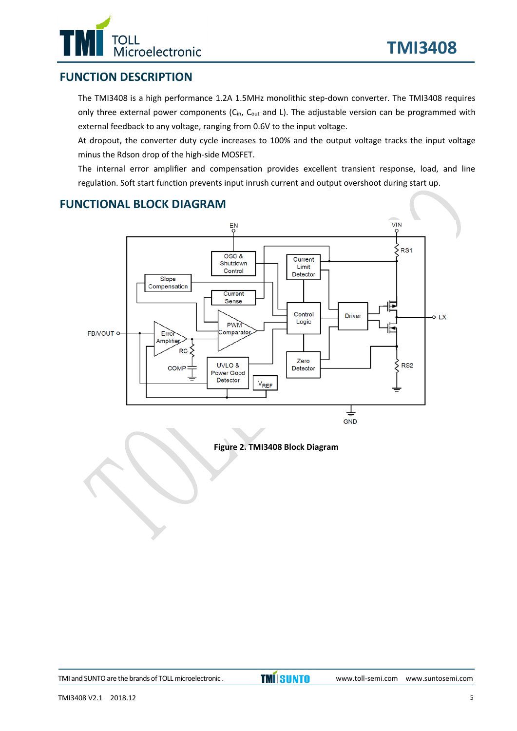

## **FUNCTION DESCRIPTION**

The TMI3408 is a high performance 1.2A 1.5MHz monolithic step‐down converter. The TMI3408 requires only three external power components (C<sub>in</sub>, C<sub>out</sub> and L). The adjustable version can be programmed with external feedback to any voltage, ranging from 0.6V to the input voltage.

At dropout, the converter duty cycle increases to 100% and the output voltage tracks the input voltage minus the Rdson drop of the high‐side MOSFET.

The internal error amplifier and compensation provides excellent transient response, load, and line regulation. Soft start function prevents input inrush current and output overshoot during start up.

### **FUNCTIONAL BLOCK DIAGRAM**



**Figure 2. TMI3408 Block Diagram**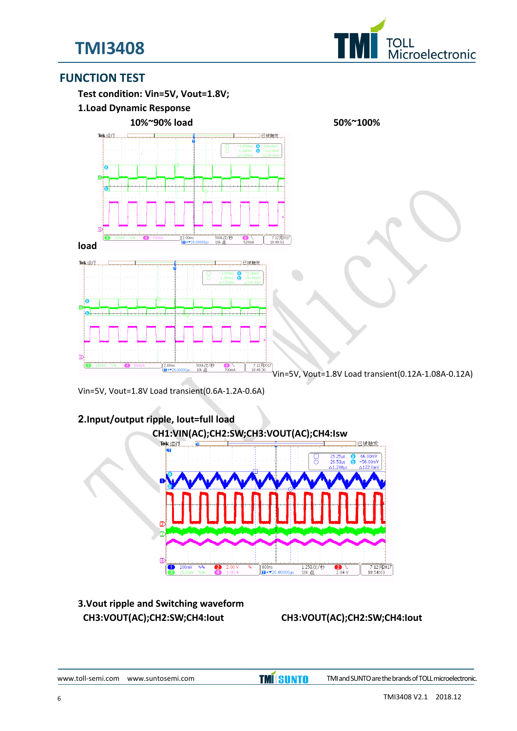



#### **FUNCTION TEST**

**Test condition: Vin=5V, Vout=1.8V;**

**1.Load Dynamic Response**





Vin=5V, Vout=1.8V Load transient(0.12A‐1.08A‐0.12A)

Vin=5V, Vout=1.8V Load transient(0.6A‐1.2A‐0.6A)



# **2.Input/output ripple, Iout=full load**

#### **3.Vout ripple and Switching waveform CH3:VOUT(AC);CH2:SW;CH4:Iout CH3:VOUT(AC);CH2:SW;CH4:Iout**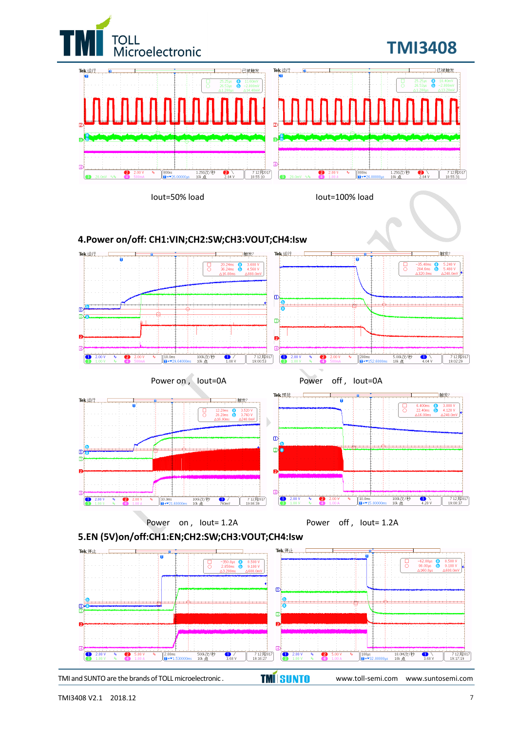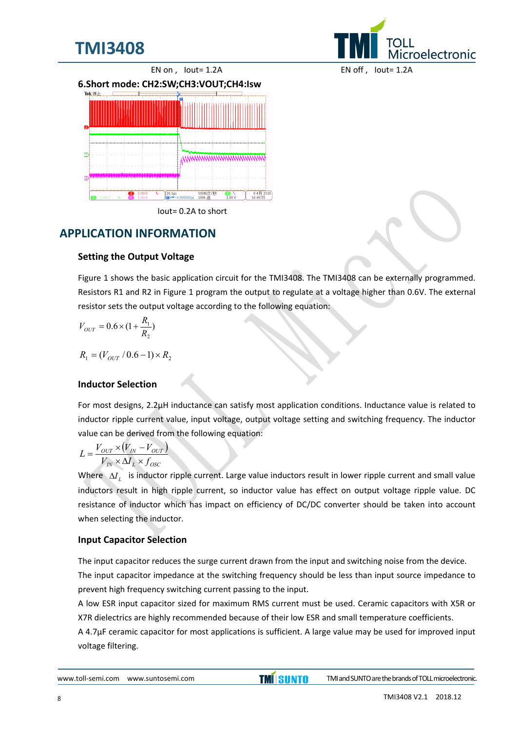



Iout= 0.2A to short

# **APPLICATION INFORMATION**

#### **Setting the Output Voltage**

Figure 1 shows the basic application circuit for the TMI3408. The TMI3408 can be externally programmed. Resistors R1 and R2 in Figure 1 program the output to regulate at a voltage higher than 0.6V. The external resistor sets the output voltage according to the following equation:

$$
V_{OUT} = 0.6 \times (1 + \frac{R_1}{R_2})
$$

$$
R_{1} = (V_{OUT} / 0.6 - 1) \times R_{2}
$$

#### **Inductor Selection**

For most designs, 2.2μH inductance can satisfy most application conditions. Inductance value is related to inductor ripple current value, input voltage, output voltage setting and switching frequency. The inductor value can be derived from the following equation:

$$
L = \frac{V_{OUT} \times (V_{IN} - V_{OUT})}{V_{IN} \times \Delta I_L \times f_{OSC}}
$$

Where  $\Delta I$ <sub>*I*</sub> is inductor ripple current. Large value inductors result in lower ripple current and small value inductors result in high ripple current, so inductor value has effect on output voltage ripple value. DC resistance of inductor which has impact on efficiency of DC/DC converter should be taken into account when selecting the inductor.

#### **Input Capacitor Selection**

The input capacitor reduces the surge current drawn from the input and switching noise from the device. The input capacitor impedance at the switching frequency should be less than input source impedance to prevent high frequency switching current passing to the input.

A low ESR input capacitor sized for maximum RMS current must be used. Ceramic capacitors with X5R or X7R dielectrics are highly recommended because of their low ESR and small temperature coefficients.

A 4.7µF ceramic capacitor for most applications is sufficient. A large value may be used for improved input voltage filtering.

*Aicroelectronic*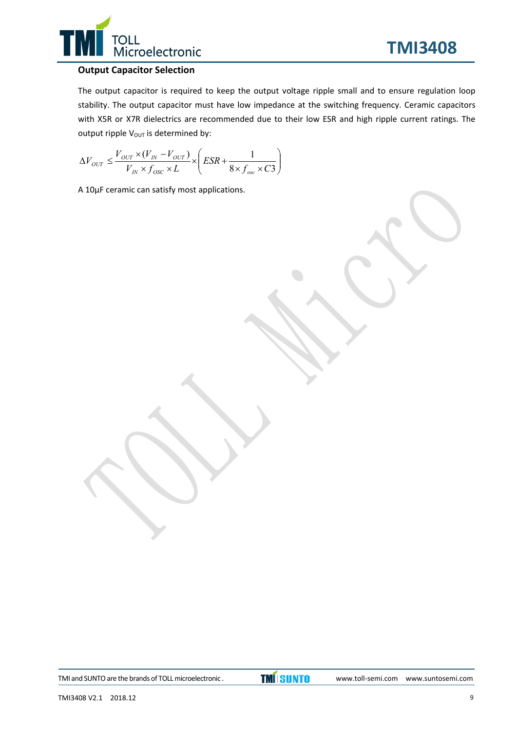

#### **Output Capacitor Selection**

The output capacitor is required to keep the output voltage ripple small and to ensure regulation loop stability. The output capacitor must have low impedance at the switching frequency. Ceramic capacitors with X5R or X7R dielectrics are recommended due to their low ESR and high ripple current ratings. The output ripple  $V_{\text{OUT}}$  is determined by:

$$
\Delta V_{OUT} \leq \frac{V_{OUT} \times (V_{IN} - V_{OUT})}{V_{IN} \times f_{osc} \times L} \times \left(ESR + \frac{1}{8 \times f_{osc} \times C3}\right)
$$

A 10µF ceramic can satisfy most applications.

TMI and SUNTO are the brands of TOLL microelectronic .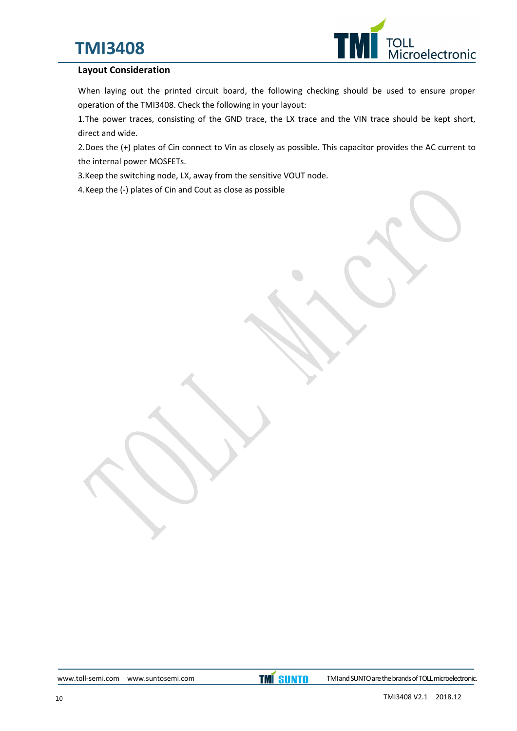# **TMI3408**



#### **Layout Consideration**

When laying out the printed circuit board, the following checking should be used to ensure proper operation of the TMI3408. Check the following in your layout:

1.The power traces, consisting of the GND trace, the LX trace and the VIN trace should be kept short, direct and wide.

2.Does the (+) plates of Cin connect to Vin as closely as possible. This capacitor provides the AC current to the internal power MOSFETs.

3.Keep the switching node, LX, away from the sensitive VOUT node.

4.Keep the (‐) plates of Cin and Cout as close as possible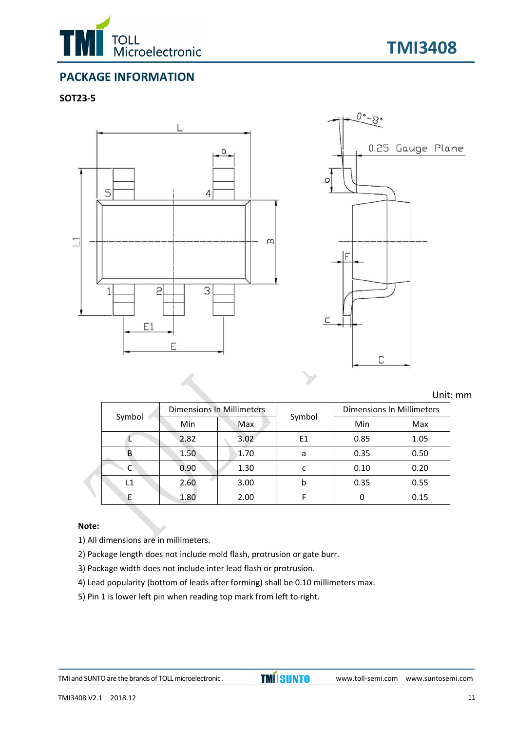



# **PACKAGE INFORMATION**

#### **SOT23‐5**



Unit: mm

|        | <b>Dimensions In Millimeters</b> |      |        | Dimensions In Millimeters |      |  |
|--------|----------------------------------|------|--------|---------------------------|------|--|
| Symbol | Min                              | Max  | Symbol | Min                       | Max  |  |
|        | 2.82                             | 3.02 | E1     | 0.85                      | 1.05 |  |
|        | 1.50                             | 1.70 | a      | 0.35                      | 0.50 |  |
|        | 0.90                             | 1.30 | c      | 0.10                      | 0.20 |  |
| L1     | 2.60                             | 3.00 | b      | 0.35                      | 0.55 |  |
|        | 1.80                             | 2.00 |        |                           | 0.15 |  |

#### **Note:**

1) All dimensions are in millimeters.

- 2) Package length does not include mold flash, protrusion or gate burr.
- 3) Package width does not include inter lead flash or protrusion.
- 4) Lead popularity (bottom of leads after forming) shall be 0.10 millimeters max.
- 5) Pin 1 is lower left pin when reading top mark from left to right.